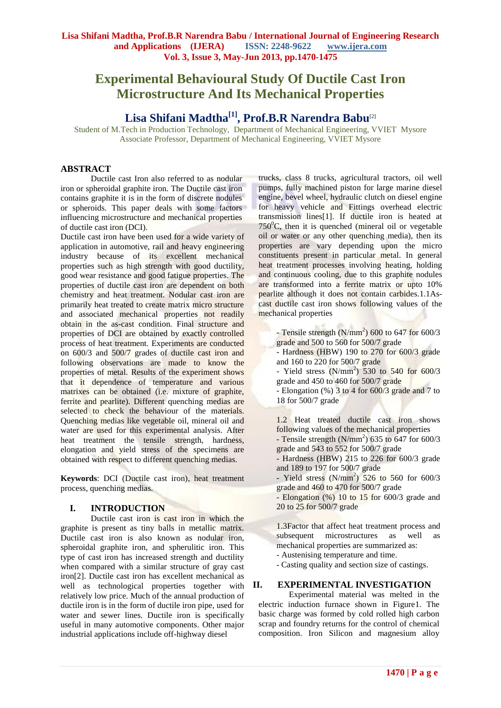# **Experimental Behavioural Study Of Ductile Cast Iron Microstructure And Its Mechanical Properties**

## **Lisa Shifani Madtha[1], Prof.B.R Narendra Babu**[2]

Student of M.Tech in Production Technology, Department of Mechanical Engineering, VVIET Mysore Associate Professor, Department of Mechanical Engineering, VVIET Mysore

## **ABSTRACT**

Ductile cast Iron also referred to as nodular iron or spheroidal graphite iron. The Ductile cast iron contains graphite it is in the form of discrete nodules or spheroids. This paper deals with some factors influencing microstructure and mechanical properties of ductile cast iron (DCI).

Ductile cast iron have been used for a wide variety of application in automotive, rail and heavy engineering industry because of its excellent mechanical properties such as high strength with good ductility, good wear resistance and good fatigue properties. The properties of ductile cast iron are dependent on both chemistry and heat treatment. Nodular cast iron are primarily heat treated to create matrix micro structure and associated mechanical properties not readily obtain in the as-cast condition. Final structure and properties of DCI are obtained by exactly controlled process of heat treatment. Experiments are conducted on 600/3 and 500/7 grades of ductile cast iron and following observations are made to know the properties of metal. Results of the experiment shows that it dependence of temperature and various matrixes can be obtained (i.e. mixture of graphite, ferrite and pearlite). Different quenching medias are selected to check the behaviour of the materials. Quenching medias like vegetable oil, mineral oil and water are used for this experimental analysis. After heat treatment the tensile strength, hardness, elongation and yield stress of the specimens are obtained with respect to different quenching medias.

**Keywords**: DCI (Ductile cast iron), heat treatment process, quenching medias.

## **I. INTRODUCTION**

Ductile cast iron is cast iron in which the graphite is present as tiny balls in metallic matrix. Ductile cast iron is also known as nodular iron, spheroidal graphite iron, and spherulitic iron. This type of cast iron has increased strength and ductility when compared with a similar structure of gray cast iron[2]. Ductile cast iron has excellent mechanical as well as technological properties together with relatively low price. Much of the annual production of ductile iron is in the form of ductile iron pipe, used for water and sewer lines. Ductile iron is specifically useful in many automotive components. Other major industrial applications include off-highway diesel

trucks, class 8 trucks, agricultural tractors, oil well pumps, fully machined piston for large marine diesel engine, bevel wheel, hydraulic clutch on diesel engine for heavy vehicle and Fittings overhead electric transmission lines[1]. If ductile iron is heated at  $750^{\circ}$ C, then it is quenched (mineral oil or vegetable oil or water or any other quenching media), then its properties are vary depending upon the micro constituents present in particular metal. In general heat treatment processes involving heating, holding and continuous cooling, due to this graphite nodules are transformed into a ferrite matrix or upto 10% pearlite although it does not contain carbides.1.1Ascast ductile cast iron shows following values of the mechanical properties

- Tensile strength  $(N/mm^2)$  600 to 647 for 600/3 grade and 500 to 560 for 500/7 grade

- Hardness (HBW) 190 to 270 for 600/3 grade and 160 to 220 for 500/7 grade
- Yield stress  $(N/mm^2)$  530 to 540 for 600/3 grade and 450 to 460 for 500/7 grade

- Elongation  $(\%)$  3 to 4 for 600/3 grade and 7 to 18 for 500/7 grade

1.2 Heat treated ductile cast iron shows following values of the mechanical properties - Tensile strength  $(N/mm^2)$  635 to 647 for 600/3 grade and 543 to 552 for 500/7 grade

- Hardness (HBW) 215 to 226 for 600/3 grade and 189 to 197 for 500/7 grade
- Yield stress  $(N/mm^2)$  526 to 560 for 600/3 grade and 460 to 470 for 500/7 grade
- Elongation (%) 10 to 15 for 600/3 grade and 20 to 25 for 500/7 grade

1.3Factor that affect heat treatment process and subsequent microstructures as well mechanical properties are summarized as:

- Austenising temperature and time.

- Casting quality and section size of castings.

## **II. EXPERIMENTAL INVESTIGATION**

Experimental material was melted in the electric induction furnace shown in Figure1. The basic charge was formed by cold rolled high carbon scrap and foundry returns for the control of chemical composition. Iron Silicon and magnesium alloy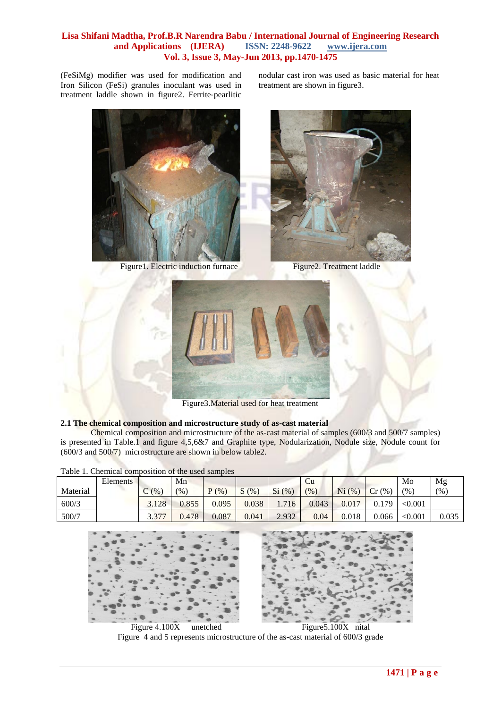(FeSiMg) modifier was used for modification and Iron Silicon (FeSi) granules inoculant was used in treatment laddle shown in figure2. Ferrite‐pearlitic

nodular cast iron was used as basic material for heat treatment are shown in figure3.



Figure1. Electric induction furnace Figure2. Treatment laddle





Figure3.Material used for heat treatment

## **2.1 The chemical composition and microstructure study of as-cast material**

Chemical composition and microstructure of the as-cast material of samples (600/3 and 500/7 samples) is presented in Table.1 and figure 4,5,6&7 and Graphite type, Nodularization, Nodule size, Nodule count for (600/3 and 500/7) microstructure are shown in below table2.

|          | Elements |                | Mn            |                    |                                |             | Ċu    |             |          | Mo      | Mg       |
|----------|----------|----------------|---------------|--------------------|--------------------------------|-------------|-------|-------------|----------|---------|----------|
| Material |          | (%             | $\frac{9}{6}$ | $\frac{1}{2}$<br>D | $\sim$<br>$(%^{6})^{(1)}$<br>ມ | Si<br>(9/6) | (9)   | Ni<br>(9/6) | Cr<br>(% | (%      | (9/0, 1) |
| 600/3    |          | 3.128          | 0.855         | 0.095              | 0.038                          | 716         | 0.043 | 0.017       | 0.179    | < 0.001 |          |
| 500/7    |          | 2277<br>، ن. ب | 0.478         | 0.087              | 0.041                          | 2.932       | 0.04  | 0.018       | 0.066    | < 0.001 | 0.035    |

Table 1. Chemical composition of the used samples



Figure 4.100X unetched Figure 5.100X nital Figure 4 and 5 represents microstructure of the as-cast material of 600/3 grade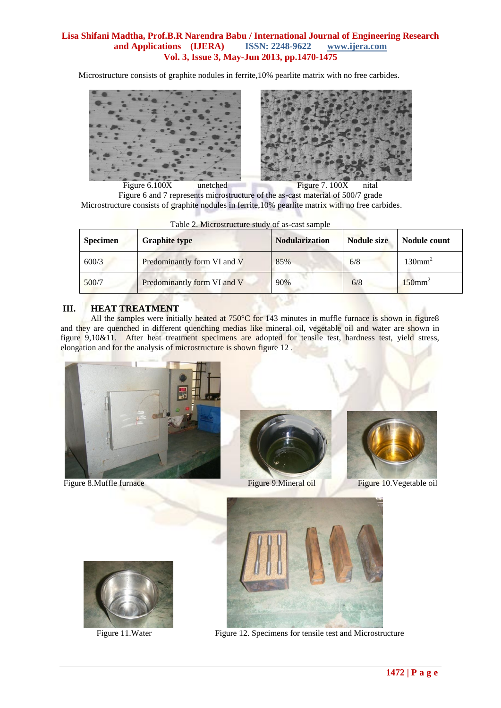Microstructure consists of graphite nodules in ferrite,10% pearlite matrix with no free carbides.



Figure 6.100X unetched Figure 7.100X nital Figure 6 and 7 represents microstructure of the as-cast material of 500/7 grade Microstructure consists of graphite nodules in ferrite,10% pearlite matrix with no free carbides.

| <b>Specimen</b> | <b>Graphite type</b>        |     | <b>Nodule size</b> | Nodule count          |  |
|-----------------|-----------------------------|-----|--------------------|-----------------------|--|
| 600/3           | Predominantly form VI and V | 85% | 6/8                | 130mm <sup>2</sup>    |  |
| 500/7           | Predominantly form VI and V | 90% | 6/8                | $150$ mm <sup>2</sup> |  |

Table 2. Microstructure study of as-cast sample

## **III. HEAT TREATMENT**

All the samples were initially heated at 750°C for 143 minutes in muffle furnace is shown in figure8 and they are quenched in different quenching medias like mineral oil, vegetable oil and water are shown in figure 9,10&11. After heat treatment specimens are adopted for tensile test, hardness test, yield stress, elongation and for the analysis of microstructure is shown figure 12 .



Figure 8. Muffle furnace Figure 9. Mineral oil Figure 10. Vegetable oil









Figure 11.Water Figure 12. Specimens for tensile test and Microstructure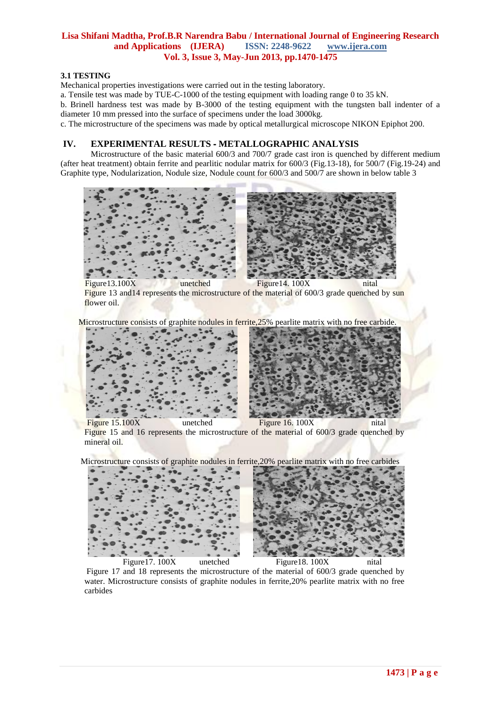#### **3.1 TESTING**

Mechanical properties investigations were carried out in the testing laboratory.

a. Tensile test was made by TUE-C-1000 of the testing equipment with loading range 0 to 35 kN.

b. Brinell hardness test was made by B-3000 of the testing equipment with the tungsten ball indenter of a diameter 10 mm pressed into the surface of specimens under the load 3000kg.

c. The microstructure of the specimens was made by optical metallurgical microscope NIKON Epiphot 200.

## **IV. EXPERIMENTAL RESULTS** ‐ **METALLOGRAPHIC ANALYSIS**

Microstructure of the basic material 600/3 and 700/7 grade cast iron is quenched by different medium (after heat treatment) obtain ferrite and pearlitic nodular matrix for 600/3 (Fig.13-18), for 500/7 (Fig.19-24) and Graphite type, Nodularization, Nodule size, Nodule count for 600/3 and 500/7 are shown in below table 3



Figure 13 and 14 represents the microstructure of the material of 600/3 grade quenched by sun flower oil.

Microstructure consists of graphite nodules in ferrite, 25% pearlite matrix with no free carbide.



Figure 15.100X unetched Figure 16. 100X nital Figure 15 and 16 represents the microstructure of the material of 600/3 grade quenched by mineral oil.

Microstructure consists of graphite nodules in ferrite,20% pearlite matrix with no free carbides



Figure 17 and 18 represents the microstructure of the material of 600/3 grade quenched by water. Microstructure consists of graphite nodules in ferrite,20% pearlite matrix with no free carbides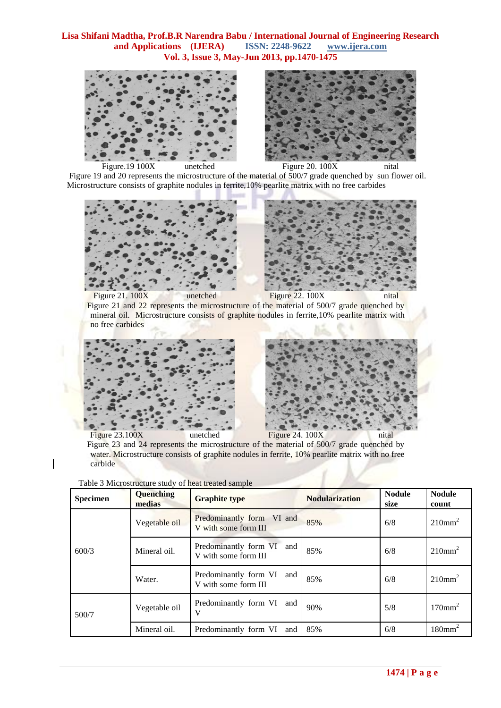



 Figure 19 and 20 represents the microstructure of the material of 500/7 grade quenched by sun flower oil. Microstructure consists of graphite nodules in ferrite,10% pearlite matrix with no free carbides



Figure 21 and 22 represents the microstructure of the material of 500/7 grade quenched by mineral oil. Microstructure consists of graphite nodules in ferrite,10% pearlite matrix with no free carbides





Figure 23.100X unetched Figure 24. 100X nital Figure 23 and 24 represents the microstructure of the material of 500/7 grade quenched by water. Microstructure consists of graphite nodules in ferrite, 10% pearlite matrix with no free carbide

| <b>Specimen</b> | Quenching<br><b>Graphite type</b><br>medias |                                                      | <b>Nodularization</b> | <b>Nodule</b><br>size | <b>Nodule</b><br>count |
|-----------------|---------------------------------------------|------------------------------------------------------|-----------------------|-----------------------|------------------------|
|                 | Vegetable oil                               | Predominantly form VI and<br>V with some form III    | 85%                   | 6/8                   | 210mm <sup>2</sup>     |
| 600/3           | Mineral oil.                                | Predominantly form VI<br>and<br>V with some form III | 85%                   | 6/8                   | 210mm <sup>2</sup>     |
|                 | Water.                                      | Predominantly form VI<br>and<br>V with some form III | 85%                   | 6/8                   | 210mm <sup>2</sup>     |
| 500/7           | Vegetable oil                               | Predominantly form VI and<br>V                       | 90%                   | 5/8                   | $170$ mm <sup>2</sup>  |
|                 | Mineral oil.                                | Predominantly form VI and                            | 85%                   | 6/8                   | $180$ mm <sup>2</sup>  |

Table 3 Microstructure study of heat treated sample

 $\overline{\phantom{a}}$